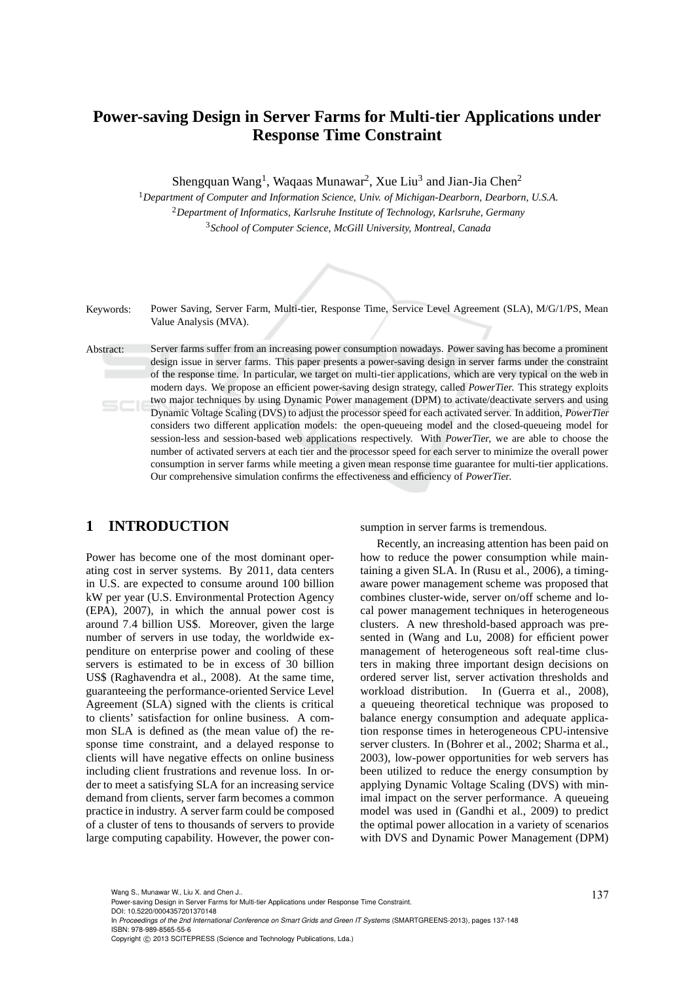# **Power-saving Design in Server Farms for Multi-tier Applications under Response Time Constraint**

Shengquan Wang<sup>1</sup>, Waqaas Munawar<sup>2</sup>, Xue Liu<sup>3</sup> and Jian-Jia Chen<sup>2</sup>

<sup>1</sup>*Department of Computer and Information Science, Univ. of Michigan-Dearborn, Dearborn, U.S.A.* <sup>2</sup>*Department of Informatics, Karlsruhe Institute of Technology, Karlsruhe, Germany* <sup>3</sup>*School of Computer Science, McGill University, Montreal, Canada*

Keywords: Power Saving, Server Farm, Multi-tier, Response Time, Service Level Agreement (SLA), M/G/1/PS, Mean Value Analysis (MVA).

Abstract: Server farms suffer from an increasing power consumption nowadays. Power saving has become a prominent design issue in server farms. This paper presents a power-saving design in server farms under the constraint of the response time. In particular, we target on multi-tier applications, which are very typical on the web in modern days. We propose an efficient power-saving design strategy, called PowerTier. This strategy exploits two major techniques by using Dynamic Power management (DPM) to activate/deactivate servers and using 5CI Dynamic Voltage Scaling (DVS) to adjust the processor speed for each activated server. In addition, PowerTier considers two different application models: the open-queueing model and the closed-queueing model for session-less and session-based web applications respectively. With PowerTier, we are able to choose the number of activated servers at each tier and the processor speed for each server to minimize the overall power consumption in server farms while meeting a given mean response time guarantee for multi-tier applications. Our comprehensive simulation confirms the effectiveness and efficiency of PowerTier.

## **1 INTRODUCTION**

Power has become one of the most dominant operating cost in server systems. By 2011, data centers in U.S. are expected to consume around 100 billion kW per year (U.S. Environmental Protection Agency (EPA), 2007), in which the annual power cost is around 7.4 billion US\$. Moreover, given the large number of servers in use today, the worldwide expenditure on enterprise power and cooling of these servers is estimated to be in excess of 30 billion US\$ (Raghavendra et al., 2008). At the same time, guaranteeing the performance-oriented Service Level Agreement (SLA) signed with the clients is critical to clients' satisfaction for online business. A common SLA is defined as (the mean value of) the response time constraint, and a delayed response to clients will have negative effects on online business including client frustrations and revenue loss. In order to meet a satisfying SLA for an increasing service demand from clients, server farm becomes a common practice in industry. A server farm could be composed of a cluster of tens to thousands of servers to provide large computing capability. However, the power consumption in server farms is tremendous.

Recently, an increasing attention has been paid on how to reduce the power consumption while maintaining a given SLA. In (Rusu et al., 2006), a timingaware power management scheme was proposed that combines cluster-wide, server on/off scheme and local power management techniques in heterogeneous clusters. A new threshold-based approach was presented in (Wang and Lu, 2008) for efficient power management of heterogeneous soft real-time clusters in making three important design decisions on ordered server list, server activation thresholds and workload distribution. In (Guerra et al., 2008), a queueing theoretical technique was proposed to balance energy consumption and adequate application response times in heterogeneous CPU-intensive server clusters. In (Bohrer et al., 2002; Sharma et al., 2003), low-power opportunities for web servers has been utilized to reduce the energy consumption by applying Dynamic Voltage Scaling (DVS) with minimal impact on the server performance. A queueing model was used in (Gandhi et al., 2009) to predict the optimal power allocation in a variety of scenarios with DVS and Dynamic Power Management (DPM)

DOI: 10.5220/0004357201370148

In *Proceedings of the 2nd International Conference on Smart Grids and Green IT Systems* (SMARTGREENS-2013), pages 137-148 ISBN: 978-989-8565-55-6

Wang S., Munawar W., Liu X. and Chen J..<br>Power-saving Design in Server Farms for Multi-tier Applications under Response Time Constraint.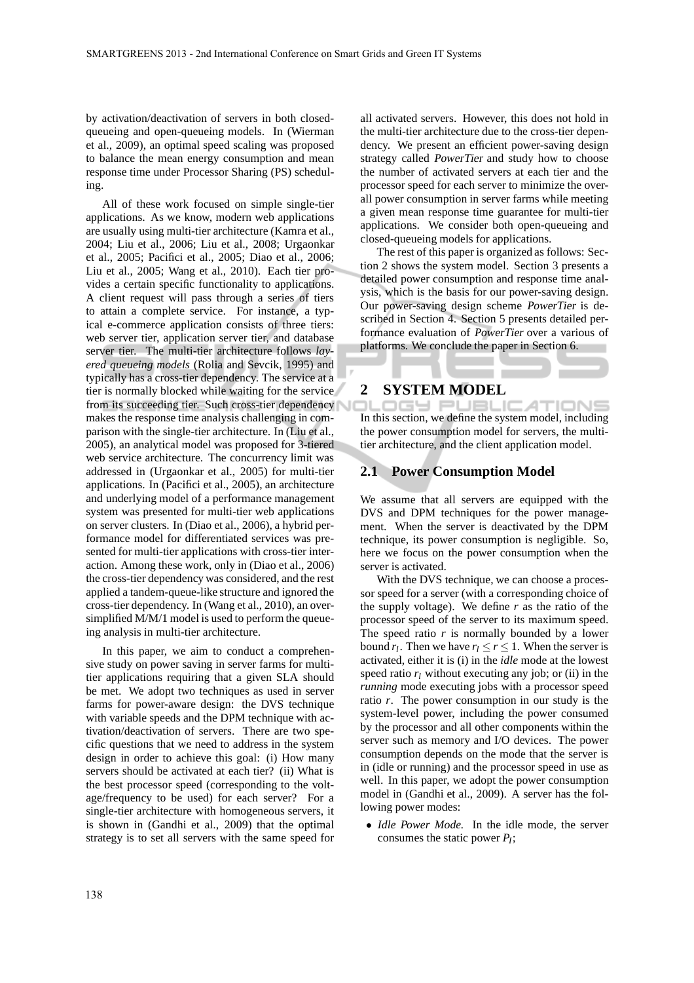by activation/deactivation of servers in both closedqueueing and open-queueing models. In (Wierman et al., 2009), an optimal speed scaling was proposed to balance the mean energy consumption and mean response time under Processor Sharing (PS) scheduling.

All of these work focused on simple single-tier applications. As we know, modern web applications are usually using multi-tier architecture (Kamra et al., 2004; Liu et al., 2006; Liu et al., 2008; Urgaonkar et al., 2005; Pacifici et al., 2005; Diao et al., 2006; Liu et al., 2005; Wang et al., 2010). Each tier provides a certain specific functionality to applications. A client request will pass through a series of tiers to attain a complete service. For instance, a typical e-commerce application consists of three tiers: web server tier, application server tier, and database server tier. The multi-tier architecture follows *layered queueing models* (Rolia and Sevcik, 1995) and typically has a cross-tier dependency. The service at a tier is normally blocked while waiting for the service from its succeeding tier. Such cross-tier dependency makes the response time analysis challenging in comparison with the single-tier architecture. In (Liu et al., 2005), an analytical model was proposed for 3-tiered web service architecture. The concurrency limit was addressed in (Urgaonkar et al., 2005) for multi-tier applications. In (Pacifici et al., 2005), an architecture and underlying model of a performance management system was presented for multi-tier web applications on server clusters. In (Diao et al., 2006), a hybrid performance model for differentiated services was presented for multi-tier applications with cross-tier interaction. Among these work, only in (Diao et al., 2006) the cross-tier dependency was considered, and the rest applied a tandem-queue-like structure and ignored the cross-tier dependency. In (Wang et al., 2010), an oversimplified M/M/1 model is used to perform the queueing analysis in multi-tier architecture.

In this paper, we aim to conduct a comprehensive study on power saving in server farms for multitier applications requiring that a given SLA should be met. We adopt two techniques as used in server farms for power-aware design: the DVS technique with variable speeds and the DPM technique with activation/deactivation of servers. There are two specific questions that we need to address in the system design in order to achieve this goal: (i) How many servers should be activated at each tier? (ii) What is the best processor speed (corresponding to the voltage/frequency to be used) for each server? For a single-tier architecture with homogeneous servers, it is shown in (Gandhi et al., 2009) that the optimal strategy is to set all servers with the same speed for all activated servers. However, this does not hold in the multi-tier architecture due to the cross-tier dependency. We present an efficient power-saving design strategy called PowerTier and study how to choose the number of activated servers at each tier and the processor speed for each server to minimize the overall power consumption in server farms while meeting a given mean response time guarantee for multi-tier applications. We consider both open-queueing and closed-queueing models for applications.

The rest of this paper is organized as follows: Section 2 shows the system model. Section 3 presents a detailed power consumption and response time analysis, which is the basis for our power-saving design. Our power-saving design scheme PowerTier is described in Section 4. Section 5 presents detailed performance evaluation of PowerTier over a various of platforms. We conclude the paper in Section 6.

### **2 SYSTEM MODEL**

OGY PUBLIC ATIONS In this section, we define the system model, including the power consumption model for servers, the multitier architecture, and the client application model.

#### **2.1 Power Consumption Model**

We assume that all servers are equipped with the DVS and DPM techniques for the power management. When the server is deactivated by the DPM technique, its power consumption is negligible. So, here we focus on the power consumption when the server is activated.

With the DVS technique, we can choose a processor speed for a server (with a corresponding choice of the supply voltage). We define  $r$  as the ratio of the processor speed of the server to its maximum speed. The speed ratio  $r$  is normally bounded by a lower bound  $r_l$ . Then we have  $r_l \le r \le 1$ . When the server is activated, either it is (i) in the *idle* mode at the lowest speed ratio  $r_l$  without executing any job; or (ii) in the *running* mode executing jobs with a processor speed ratio *r*. The power consumption in our study is the system-level power, including the power consumed by the processor and all other components within the server such as memory and I/O devices. The power consumption depends on the mode that the server is in (idle or running) and the processor speed in use as well. In this paper, we adopt the power consumption model in (Gandhi et al., 2009). A server has the following power modes:

• *Idle Power Mode.* In the idle mode, the server consumes the static power *P<sup>I</sup>* ;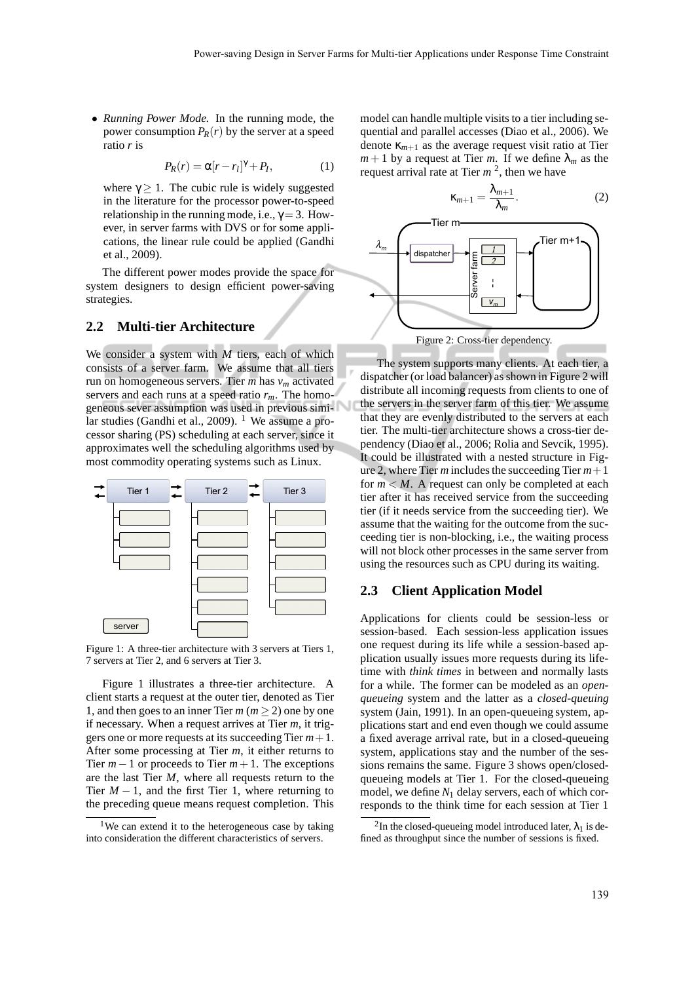• *Running Power Mode.* In the running mode, the power consumption  $P_R(r)$  by the server at a speed ratio *r* is

$$
P_R(r) = \alpha [r - r_l]^{\gamma} + P_I, \qquad (1)
$$

where  $\gamma \geq 1$ . The cubic rule is widely suggested in the literature for the processor power-to-speed relationship in the running mode, i.e.,  $\gamma = 3$ . However, in server farms with DVS or for some applications, the linear rule could be applied (Gandhi et al., 2009).

The different power modes provide the space for system designers to design efficient power-saving strategies.

#### **2.2 Multi-tier Architecture**

We consider a system with *M* tiers, each of which consists of a server farm. We assume that all tiers run on homogeneous servers. Tier *m* has *v<sup>m</sup>* activated servers and each runs at a speed ratio *rm*. The homogeneous sever assumption was used in previous similar studies (Gandhi et al., 2009). <sup>1</sup> We assume a processor sharing (PS) scheduling at each server, since it approximates well the scheduling algorithms used by most commodity operating systems such as Linux.



Figure 1: A three-tier architecture with 3 servers at Tiers 1, 7 servers at Tier 2, and 6 servers at Tier 3.

Figure 1 illustrates a three-tier architecture. A client starts a request at the outer tier, denoted as Tier 1, and then goes to an inner Tier  $m (m > 2)$  one by one if necessary. When a request arrives at Tier *m*, it triggers one or more requests at its succeeding Tier *m*+1. After some processing at Tier *m*, it either returns to Tier *m*−1 or proceeds to Tier *m*+1. The exceptions are the last Tier *M*, where all requests return to the Tier  $M-1$ , and the first Tier 1, where returning to the preceding queue means request completion. This model can handle multiple visits to a tier including sequential and parallel accesses (Diao et al., 2006). We denote  $\kappa_{m+1}$  as the average request visit ratio at Tier  $m+1$  by a request at Tier *m*. If we define  $\lambda_m$  as the request arrival rate at Tier *m* 2 , then we have



The system supports many clients. At each tier, a dispatcher (or load balancer) as shown in Figure 2 will distribute all incoming requests from clients to one of the servers in the server farm of this tier. We assume that they are evenly distributed to the servers at each tier. The multi-tier architecture shows a cross-tier dependency (Diao et al., 2006; Rolia and Sevcik, 1995). It could be illustrated with a nested structure in Figure 2, where Tier *m* includes the succeeding Tier *m*+1 for  $m < M$ . A request can only be completed at each tier after it has received service from the succeeding tier (if it needs service from the succeeding tier). We assume that the waiting for the outcome from the succeeding tier is non-blocking, i.e., the waiting process will not block other processes in the same server from using the resources such as CPU during its waiting.

#### **2.3 Client Application Model**

Applications for clients could be session-less or session-based. Each session-less application issues one request during its life while a session-based application usually issues more requests during its lifetime with *think times* in between and normally lasts for a while. The former can be modeled as an *openqueueing* system and the latter as a *closed-queuing* system (Jain, 1991). In an open-queueing system, applications start and end even though we could assume a fixed average arrival rate, but in a closed-queueing system, applications stay and the number of the sessions remains the same. Figure 3 shows open/closedqueueing models at Tier 1. For the closed-queueing model, we define *N*<sup>1</sup> delay servers, each of which corresponds to the think time for each session at Tier 1

<sup>&</sup>lt;sup>1</sup>We can extend it to the heterogeneous case by taking into consideration the different characteristics of servers.

<sup>&</sup>lt;sup>2</sup>In the closed-queueing model introduced later,  $\lambda_1$  is defined as throughput since the number of sessions is fixed.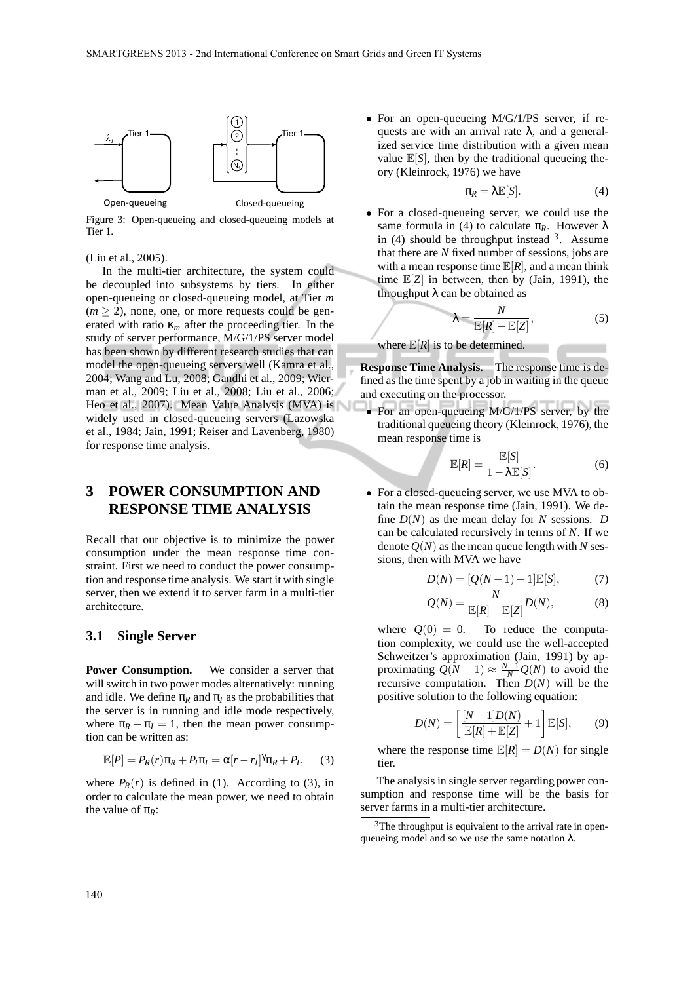

Figure 3: Open-queueing and closed-queueing models at Tier 1.

#### (Liu et al., 2005).

In the multi-tier architecture, the system could be decoupled into subsystems by tiers. In either open-queueing or closed-queueing model, at Tier *m*  $(m \ge 2)$ , none, one, or more requests could be generated with ratio  $\kappa_m$  after the proceeding tier. In the study of server performance, M/G/1/PS server model has been shown by different research studies that can model the open-queueing servers well (Kamra et al., 2004; Wang and Lu, 2008; Gandhi et al., 2009; Wierman et al., 2009; Liu et al., 2008; Liu et al., 2006; Heo et al., 2007). Mean Value Analysis (MVA) is widely used in closed-queueing servers (Lazowska et al., 1984; Jain, 1991; Reiser and Lavenberg, 1980) for response time analysis.

## **3 POWER CONSUMPTION AND RESPONSE TIME ANALYSIS**

Recall that our objective is to minimize the power consumption under the mean response time constraint. First we need to conduct the power consumption and response time analysis. We start it with single server, then we extend it to server farm in a multi-tier architecture.

#### **3.1 Single Server**

**Power Consumption.** We consider a server that will switch in two power modes alternatively: running and idle. We define  $\pi_R$  and  $\pi_I$  as the probabilities that the server is in running and idle mode respectively, where  $\pi_R + \pi_I = 1$ , then the mean power consumption can be written as:

$$
\mathbb{E}[P] = P_R(r)\pi_R + P_I\pi_I = \alpha[r - r_I]^{\gamma}\pi_R + P_I, \quad (3)
$$

where  $P_R(r)$  is defined in (1). According to (3), in order to calculate the mean power, we need to obtain the value of  $\pi_R$ :

• For an open-queueing M/G/1/PS server, if requests are with an arrival rate  $\lambda$ , and a generalized service time distribution with a given mean value  $\mathbb{E}[S]$ , then by the traditional queueing theory (Kleinrock, 1976) we have

$$
\pi_R = \lambda \mathbb{E}[S]. \tag{4}
$$

• For a closed-queueing server, we could use the same formula in (4) to calculate  $\pi_R$ . However  $\lambda$ in  $(4)$  should be throughput instead  $3$ . Assume that there are *N* fixed number of sessions, jobs are with a mean response time  $\mathbb{E}[R]$ , and a mean think time E[*Z*] in between, then by (Jain, 1991), the throughput  $\lambda$  can be obtained as

$$
\lambda = \frac{N}{\mathbb{E}[R] + \mathbb{E}[Z]},\tag{5}
$$

#### where  $\mathbb{E}[R]$  is to be determined.

**Response Time Analysis.** The response time is defined as the time spent by a job in waiting in the queue and executing on the processor.

• For an open-queueing M/G/1/PS server, by the traditional queueing theory (Kleinrock, 1976), the mean response time is

$$
\mathbb{E}[R] = \frac{\mathbb{E}[S]}{1 - \lambda \mathbb{E}[S]}.
$$
 (6)

• For a closed-queueing server, we use MVA to obtain the mean response time (Jain, 1991). We define  $D(N)$  as the mean delay for *N* sessions. *D* can be calculated recursively in terms of *N*. If we denote  $Q(N)$  as the mean queue length with N sessions, then with MVA we have

$$
D(N) = [Q(N-1) + 1] \mathbb{E}[S],
$$
 (7)

$$
Q(N) = \frac{N}{\mathbb{E}[R] + \mathbb{E}[Z]} D(N), \tag{8}
$$

where  $Q(0) = 0$ . To reduce the computation complexity, we could use the well-accepted Schweitzer's approximation (Jain, 1991) by approximating  $Q(N-1) \approx \frac{N-1}{N}Q(N)$  to avoid the recursive computation. Then *D*(*N*) will be the positive solution to the following equation:

$$
D(N) = \left[\frac{[N-1]D(N)}{\mathbb{E}[R] + \mathbb{E}[Z]} + 1\right] \mathbb{E}[S],\qquad(9)
$$

where the response time  $\mathbb{E}[R] = D(N)$  for single tier.

The analysis in single server regarding power consumption and response time will be the basis for server farms in a multi-tier architecture.

<sup>&</sup>lt;sup>3</sup>The throughput is equivalent to the arrival rate in openqueueing model and so we use the same notation  $\lambda$ .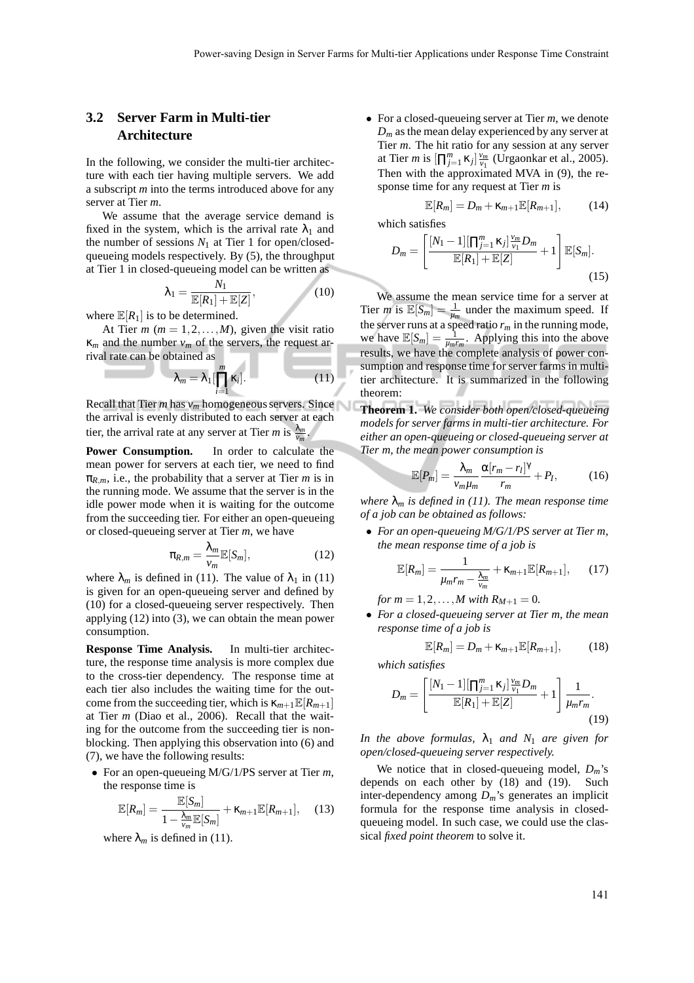## **3.2 Server Farm in Multi-tier Architecture**

In the following, we consider the multi-tier architecture with each tier having multiple servers. We add a subscript *m* into the terms introduced above for any server at Tier *m*.

We assume that the average service demand is fixed in the system, which is the arrival rate  $\lambda_1$  and the number of sessions  $N_1$  at Tier 1 for open/closedqueueing models respectively. By (5), the throughput at Tier 1 in closed-queueing model can be written as

$$
\lambda_1 = \frac{N_1}{\mathbb{E}[R_1] + \mathbb{E}[Z]},\tag{10}
$$

where  $\mathbb{E}[R_1]$  is to be determined.

At Tier  $m$  ( $m = 1, 2, \ldots, M$ ), given the visit ratio κ*<sup>m</sup>* and the number *v<sup>m</sup>* of the servers, the request arrival rate can be obtained as

$$
\lambda_m = \lambda_1 \left[ \prod_{i=1}^m \kappa_i \right]. \tag{11}
$$

Recall that Tier *m* has  $v_m$  homogeneous servers. Since the arrival is evenly distributed to each server at each tier, the arrival rate at any server at Tier *m* is  $\frac{\lambda_m}{v_m}$ .

**Power Consumption.** In order to calculate the mean power for servers at each tier, we need to find  $\pi_{R,m}$ , i.e., the probability that a server at Tier *m* is in the running mode. We assume that the server is in the idle power mode when it is waiting for the outcome from the succeeding tier. For either an open-queueing or closed-queueing server at Tier *m*, we have

$$
\pi_{R,m} = \frac{\lambda_m}{\nu_m} \mathbb{E}[S_m],\tag{12}
$$

where  $\lambda_m$  is defined in (11). The value of  $\lambda_1$  in (11) is given for an open-queueing server and defined by (10) for a closed-queueing server respectively. Then applying (12) into (3), we can obtain the mean power consumption.

**Response Time Analysis.** In multi-tier architecture, the response time analysis is more complex due to the cross-tier dependency. The response time at each tier also includes the waiting time for the outcome from the succeeding tier, which is  $\kappa_{m+1}\mathbb{E}[R_{m+1}]$ at Tier *m* (Diao et al., 2006). Recall that the waiting for the outcome from the succeeding tier is nonblocking. Then applying this observation into (6) and (7), we have the following results:

• For an open-queueing M/G/1/PS server at Tier *m*, the response time is

$$
\mathbb{E}[R_m] = \frac{\mathbb{E}[S_m]}{1 - \frac{\lambda_m}{\nu_m} \mathbb{E}[S_m]} + \kappa_{m+1} \mathbb{E}[R_{m+1}], \quad (13)
$$

where  $\lambda_m$  is defined in (11).

• For a closed-queueing server at Tier *m*, we denote  $D_m$  as the mean delay experienced by any server at Tier *m*. The hit ratio for any session at any server at Tier *m* is  $[\prod_{j=1}^{m} \kappa_j] \frac{v_m}{v_1}$  (Urgaonkar et al., 2005). Then with the approximated MVA in (9), the response time for any request at Tier *m* is

$$
\mathbb{E}[R_m] = D_m + \kappa_{m+1} \mathbb{E}[R_{m+1}], \tag{14}
$$

which satisfies

$$
D_m = \left[\frac{[N_1 - 1][\prod_{j=1}^m \kappa_j] \frac{v_m}{v_1} D_m}{\mathbb{E}[R_1] + \mathbb{E}[Z]} + 1\right] \mathbb{E}[S_m].
$$
\n(15)

We assume the mean service time for a server at Tier *m* is  $\mathbb{E}[S_m] = \frac{1}{\mu_m}$  under the maximum speed. If the server runs at a speed ratio *r<sup>m</sup>* in the running mode, we have  $\mathbb{E}[S_m] = \frac{1}{\mu_m r_m}$ . Applying this into the above results, we have the complete analysis of power consumption and response time for server farms in multitier architecture. It is summarized in the following theorem:

**Theorem 1.** *We consider both open/closed-queueing models for server farms in multi-tier architecture. For either an open-queueing or closed-queueing server at Tier m, the mean power consumption is*

$$
\mathbb{E}[P_m] = \frac{\lambda_m}{v_m \mu_m} \frac{\alpha[r_m - r_l]^{\gamma}}{r_m} + P_I, \quad (16)
$$

*where*  $\lambda_m$  *is defined in (11). The mean response time of a job can be obtained as follows:*

• *For an open-queueing M/G/1/PS server at Tier m, the mean response time of a job is*

$$
\mathbb{E}[R_m] = \frac{1}{\mu_m r_m - \frac{\lambda_m}{v_m}} + \kappa_{m+1} \mathbb{E}[R_{m+1}], \qquad (17)
$$

*for*  $m = 1, 2, ..., M$  *with*  $R_{M+1} = 0$ *.* 

• *For a closed-queueing server at Tier m, the mean response time of a job is*

$$
\mathbb{E}[R_m] = D_m + \kappa_{m+1} \mathbb{E}[R_{m+1}], \quad (18)
$$

*which satisfies*

$$
D_m = \left[\frac{[N_1 - 1][\prod_{j=1}^m \kappa_j] \frac{\nu_m}{\nu_1} D_m}{\mathbb{E}[R_1] + \mathbb{E}[Z]} + 1\right] \frac{1}{\mu_m r_m}.
$$
\n(19)

*In the above formulas,*  $\lambda_1$  *and*  $N_1$  *are given for open/closed-queueing server respectively.*

We notice that in closed-queueing model, *Dm*'s depends on each other by (18) and (19). Such inter-dependency among *Dm*'s generates an implicit formula for the response time analysis in closedqueueing model. In such case, we could use the classical *fixed point theorem* to solve it.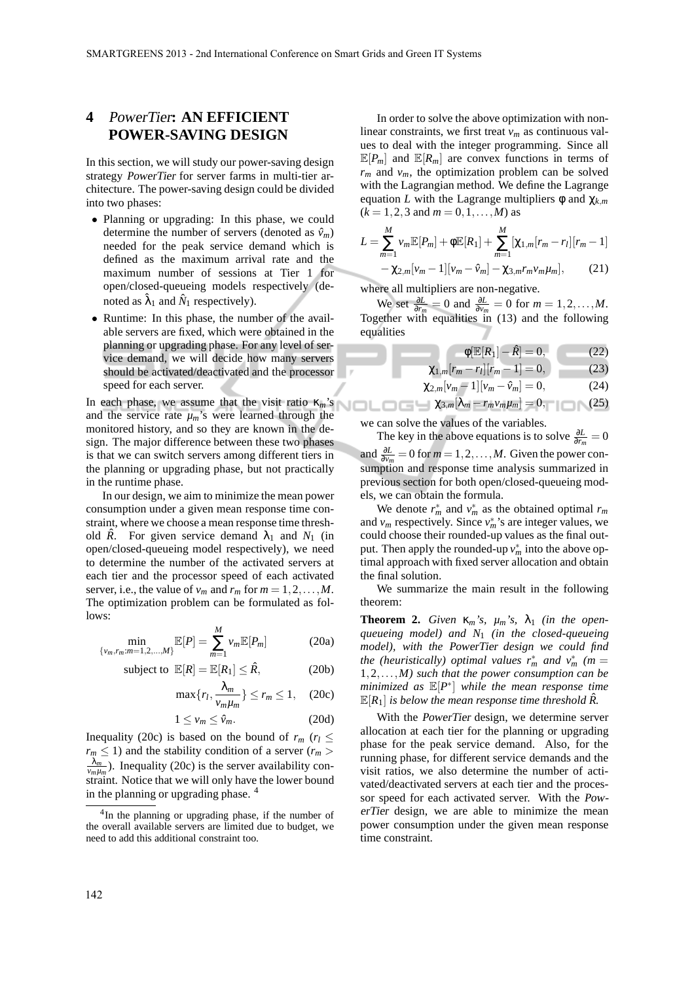## **4** PowerTier**: AN EFFICIENT POWER-SAVING DESIGN**

In this section, we will study our power-saving design strategy PowerTier for server farms in multi-tier architecture. The power-saving design could be divided into two phases:

- Planning or upgrading: In this phase, we could determine the number of servers (denoted as  $\hat{v}_m$ ) needed for the peak service demand which is defined as the maximum arrival rate and the maximum number of sessions at Tier 1 for open/closed-queueing models respectively (denoted as  $\hat{\lambda}_1$  and  $\hat{N}_1$  respectively).
- Runtime: In this phase, the number of the available servers are fixed, which were obtained in the planning or upgrading phase. For any level of service demand, we will decide how many servers should be activated/deactivated and the processor speed for each server.

In each phase, we assume that the visit ratio κ*m*'s and the service rate  $\mu_m$ 's were learned through the monitored history, and so they are known in the design. The major difference between these two phases is that we can switch servers among different tiers in the planning or upgrading phase, but not practically in the runtime phase.

In our design, we aim to minimize the mean power consumption under a given mean response time constraint, where we choose a mean response time threshold  $\hat{R}$ . For given service demand  $\lambda_1$  and  $N_1$  (in open/closed-queueing model respectively), we need to determine the number of the activated servers at each tier and the processor speed of each activated server, i.e., the value of  $v_m$  and  $r_m$  for  $m = 1, 2, \ldots, M$ . The optimization problem can be formulated as follows:

$$
\min_{\{v_m, r_m : m = 1, 2, ..., M\}} \mathbb{E}[P] = \sum_{m=1}^{M} v_m \mathbb{E}[P_m]
$$
 (20a)

subject to 
$$
\mathbb{E}[R] = \mathbb{E}[R_1] \leq \hat{R}
$$
, (20b)

$$
\max\{r_l, \frac{\lambda_m}{v_m \mu_m}\} \le r_m \le 1, \quad (20c)
$$

$$
1 \le v_m \le \hat{v}_m. \tag{20d}
$$

Inequality (20c) is based on the bound of  $r_m$  ( $r_l \leq$  $r_m \leq 1$ ) and the stability condition of a server ( $r_m$ )  $\frac{\lambda_m}{\nu_m \mu_m}$ ). Inequality (20c) is the server availability constraint. Notice that we will only have the lower bound in the planning or upgrading phase.

In order to solve the above optimization with nonlinear constraints, we first treat *v<sup>m</sup>* as continuous values to deal with the integer programming. Since all  $\mathbb{E}[P_m]$  and  $\mathbb{E}[R_m]$  are convex functions in terms of  $r_m$  and  $v_m$ , the optimization problem can be solved with the Lagrangian method. We define the Lagrange equation *L* with the Lagrange multipliers  $\phi$  and  $\chi_{km}$  $(k = 1, 2, 3 \text{ and } m = 0, 1, \ldots, M)$  as

$$
L = \sum_{m=1}^{M} v_m \mathbb{E}[P_m] + \phi \mathbb{E}[R_1] + \sum_{m=1}^{M} [\chi_{1,m}[r_m - r_l][r_m - 1] - \chi_{2,m}[v_m - 1][v_m - \hat{v}_m] - \chi_{3,m}r_m v_m \mu_m], \qquad (21)
$$

where all multipliers are non-negative.

We set  $\frac{\partial L}{\partial r_m} = 0$  and  $\frac{\partial L}{\partial v_m} = 0$  for  $m = 1, 2, ..., M$ . Together with equalities in (13) and the following equalities

$$
\Phi[\mathbb{E}[R_1] - \hat{R}] = 0, \quad (22)
$$

$$
\chi_{1,m}[r_m - r_l][r_m - 1] = 0, \tag{23}
$$

$$
\chi_{2,m}[\nu_m-1][\nu_m-\hat{\nu}_m]=0,\tag{24}
$$

$$
\chi_{3,m}[\lambda_m-r_m\nu_m\mu_m]=0,\qquad (25)
$$

we can solve the values of the variables.

The key in the above equations is to solve  $\frac{\partial L}{\partial r_m} = 0$ and  $\frac{\partial L}{\partial v_m} = 0$  for  $m = 1, 2, ..., M$ . Given the power consumption and response time analysis summarized in previous section for both open/closed-queueing models, we can obtain the formula.

We denote  $r_m^*$  and  $v_m^*$  as the obtained optimal  $r_m$ and  $v_m$  respectively. Since  $v_m^*$ 's are integer values, we could choose their rounded-up values as the final output. Then apply the rounded-up  $v_m^*$  into the above optimal approach with fixed server allocation and obtain the final solution.

We summarize the main result in the following theorem:

**Theorem 2.** *Given*  $\kappa_m$ 's,  $\mu_m$ 's,  $\lambda_1$  *(in the openqueueing model) and N*<sup>1</sup> *(in the closed-queueing model), with the* PowerTier *design we could find the (heuristically) optimal values*  $r_m^*$  *and*  $v_m^*$  *(m =*  $\frac{1}{2}$ 1,2,...,*M) such that the power consumption can be minimized as* E[*P* ∗ ] *while the mean response time*  $\mathbb{E}[R_1]$  *is below the mean response time threshold*  $\hat{R}$ .

With the PowerTier design, we determine server allocation at each tier for the planning or upgrading phase for the peak service demand. Also, for the running phase, for different service demands and the visit ratios, we also determine the number of activated/deactivated servers at each tier and the processor speed for each activated server. With the PowerTier design, we are able to minimize the mean power consumption under the given mean response time constraint.

<sup>&</sup>lt;sup>4</sup>In the planning or upgrading phase, if the number of the overall available servers are limited due to budget, we need to add this additional constraint too.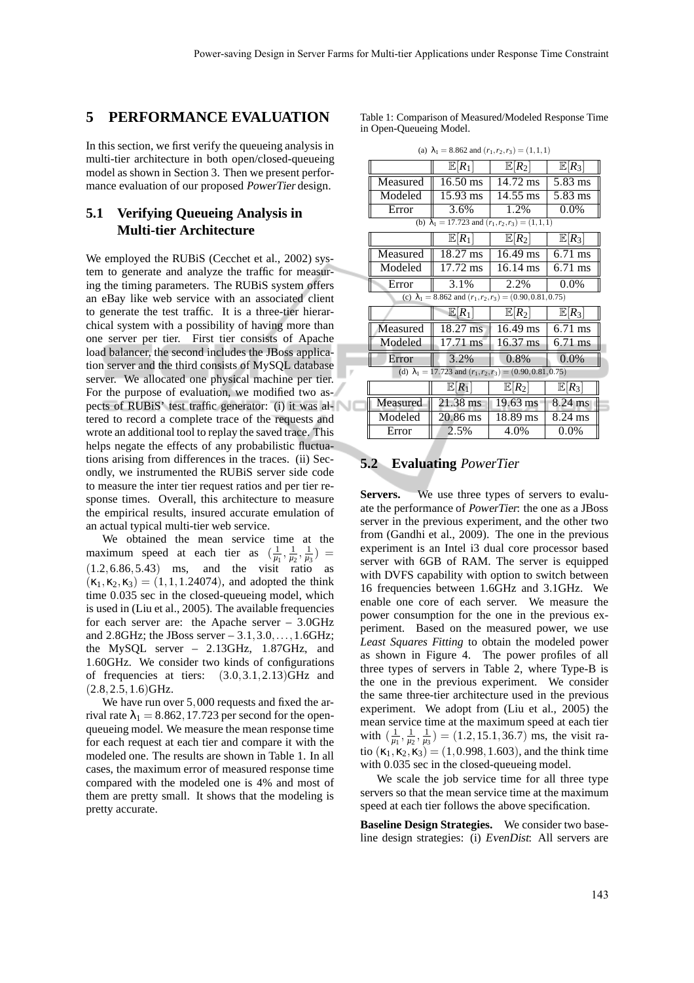### **5 PERFORMANCE EVALUATION**

In this section, we first verify the queueing analysis in multi-tier architecture in both open/closed-queueing model as shown in Section 3. Then we present performance evaluation of our proposed PowerTier design.

## **5.1 Verifying Queueing Analysis in Multi-tier Architecture**

We employed the RUBiS (Cecchet et al., 2002) system to generate and analyze the traffic for measuring the timing parameters. The RUBiS system offers an eBay like web service with an associated client to generate the test traffic. It is a three-tier hierarchical system with a possibility of having more than one server per tier. First tier consists of Apache load balancer, the second includes the JBoss application server and the third consists of MySQL database server. We allocated one physical machine per tier. For the purpose of evaluation, we modified two aspects of RUBiS' test traffic generator: (i) it was altered to record a complete trace of the requests and wrote an additional tool to replay the saved trace. This helps negate the effects of any probabilistic fluctuations arising from differences in the traces. (ii) Secondly, we instrumented the RUBiS server side code to measure the inter tier request ratios and per tier response times. Overall, this architecture to measure the empirical results, insured accurate emulation of an actual typical multi-tier web service.

We obtained the mean service time at the maximum speed at each tier as  $(\frac{1}{\mu_1}, \frac{1}{\mu_2}, \frac{1}{\mu_3})$  =  $(1.2, 6.86, 5.43)$  ms, and the visit ratio as  $(\kappa_1, \kappa_2, \kappa_3) = (1, 1, 1.24074)$ , and adopted the think time 0.035 sec in the closed-queueing model, which is used in (Liu et al., 2005). The available frequencies for each server are: the Apache server – 3.0GHz and 2.8GHz; the JBoss server  $-3.1, 3.0, \ldots, 1.6$ GHz; the MySQL server – 2.13GHz, 1.87GHz, and 1.60GHz. We consider two kinds of configurations of frequencies at tiers: (3.0,3.1,2.13)GHz and  $(2.8, 2.5, 1.6)$ GHz.

We have run over 5,000 requests and fixed the arrival rate  $\lambda_1 = 8.862, 17.723$  per second for the openqueueing model. We measure the mean response time for each request at each tier and compare it with the modeled one. The results are shown in Table 1. In all cases, the maximum error of measured response time compared with the modeled one is 4% and most of them are pretty small. It shows that the modeling is pretty accurate.

Table 1: Comparison of Measured/Modeled Response Time in Open-Queueing Model.

| (a) $\lambda_1 = 8.862$ and $(r_1, r_2, r_3) = (1, 1, 1)$           |                    |                    |                   |  |  |  |  |  |
|---------------------------------------------------------------------|--------------------|--------------------|-------------------|--|--|--|--|--|
|                                                                     | $E R_1 $           | $\mathbb{E} R_2$   | $E R_3$           |  |  |  |  |  |
| Measured                                                            | $16.50 \text{ ms}$ | 14.72 ms           | 5.83 ms           |  |  |  |  |  |
| Modeled                                                             | 15.93 ms           | 14.55 ms           | 5.83 ms           |  |  |  |  |  |
| Error                                                               | 3.6%               | 1.2%               | $0.0\%$           |  |  |  |  |  |
| (b) $\lambda_1 = 17.723$ and $(r_1, r_2, r_3) = (1, 1, 1)$          |                    |                    |                   |  |  |  |  |  |
|                                                                     | $E R_1 $           | $\mathbb{E}[R_2]$  | $\mathbb{E} R_3 $ |  |  |  |  |  |
| Measured                                                            | 18.27 ms           | 16.49 ms           | $6.71$ ms         |  |  |  |  |  |
| Modeled                                                             | 17.72 ms           | 16.14 ms           | $6.71$ ms         |  |  |  |  |  |
| Error                                                               | 3.1%               | 2.2%               | $0.0\%$           |  |  |  |  |  |
| (c) $\lambda_1 = 8.862$ and $(r_1, r_2, r_3) = (0.90, 0.81, 0.75)$  |                    |                    |                   |  |  |  |  |  |
|                                                                     | $E[R_1]$           | $\mathbb{E}[R_2]$  | $\mathbb{E}[R_3]$ |  |  |  |  |  |
| Measured                                                            | 18.27 ms           | 16.49 ms           | $6.71$ ms         |  |  |  |  |  |
| Modeled                                                             | $17.71 \text{ ms}$ | $16.37 \text{ ms}$ | $6.71$ ms         |  |  |  |  |  |
| Error                                                               | 3.2%               | $0.8\%$            | 0.0%              |  |  |  |  |  |
| (d) $\lambda_1 = 17.723$ and $(r_1, r_2, r_3) = (0.90, 0.81, 0.75)$ |                    |                    |                   |  |  |  |  |  |
|                                                                     |                    | $\mathbb{E} R_2$   | $E R_3$           |  |  |  |  |  |
|                                                                     | $E R_1$            |                    |                   |  |  |  |  |  |
| Measured                                                            | 21.38 ms           | $19.63 \text{ ms}$ | 8.24 ms           |  |  |  |  |  |
| Modeled                                                             | 20.86 ms           | 18.89 ms           | 8.24 ms           |  |  |  |  |  |

#### **5.2 Evaluating** PowerTier

**Servers.** We use three types of servers to evaluate the performance of PowerTier: the one as a JBoss server in the previous experiment, and the other two from (Gandhi et al., 2009). The one in the previous experiment is an Intel i3 dual core processor based server with 6GB of RAM. The server is equipped with DVFS capability with option to switch between 16 frequencies between 1.6GHz and 3.1GHz. We enable one core of each server. We measure the power consumption for the one in the previous experiment. Based on the measured power, we use *Least Squares Fitting* to obtain the modeled power as shown in Figure 4. The power profiles of all three types of servers in Table 2, where Type-B is the one in the previous experiment. We consider the same three-tier architecture used in the previous experiment. We adopt from (Liu et al., 2005) the mean service time at the maximum speed at each tier with  $\left(\frac{1}{\mu_1}, \frac{1}{\mu_2}, \frac{1}{\mu_3}\right) = (1.2, 15.1, 36.7)$  ms, the visit ratio  $(\kappa_1, \kappa_2, \kappa_3) = (1, 0.998, 1.603)$ , and the think time with 0.035 sec in the closed-queueing model.

We scale the job service time for all three type servers so that the mean service time at the maximum speed at each tier follows the above specification.

**Baseline Design Strategies.** We consider two baseline design strategies: (i) EvenDist: All servers are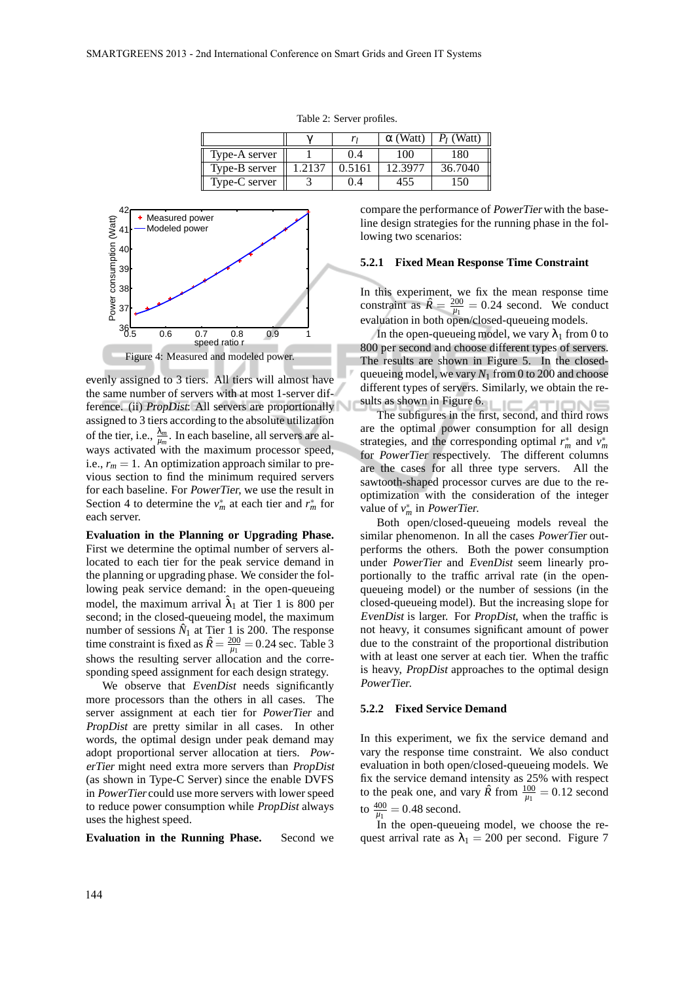|  |               |        |        | $\alpha$ (Watt) | $P_I$ (Watt) |
|--|---------------|--------|--------|-----------------|--------------|
|  | Type-A server |        | 0.4    | 100             | 180          |
|  | Type-B server | 1.2137 | 0.5161 | 12.3977         | 36.7040      |
|  | Type-C server |        | 9.4    | 455             | 50           |





evenly assigned to 3 tiers. All tiers will almost have the same number of servers with at most 1-server difference. (ii) *PropDist*: All servers are proportionally assigned to 3 tiers according to the absolute utilization of the tier, i.e.,  $\frac{\lambda_m}{\mu_m}$ . In each baseline, all servers are always activated with the maximum processor speed, i.e.,  $r_m = 1$ . An optimization approach similar to previous section to find the minimum required servers for each baseline. For PowerTier, we use the result in Section 4 to determine the  $v_m^*$  at each tier and  $r_m^*$  for each server.

**Evaluation in the Planning or Upgrading Phase.** First we determine the optimal number of servers allocated to each tier for the peak service demand in the planning or upgrading phase. We consider the following peak service demand: in the open-queueing model, the maximum arrival  $\hat{\lambda}_1$  at Tier 1 is 800 per second; in the closed-queueing model, the maximum number of sessions  $\hat{N}_1$  at Tier 1 is 200. The response time constraint is fixed as  $\hat{R} = \frac{200}{\mu_1} = 0.24$  sec. Table 3 shows the resulting server allocation and the corresponding speed assignment for each design strategy.

We observe that EvenDist needs significantly more processors than the others in all cases. The server assignment at each tier for PowerTier and PropDist are pretty similar in all cases. In other words, the optimal design under peak demand may adopt proportional server allocation at tiers. PowerTier might need extra more servers than PropDist (as shown in Type-C Server) since the enable DVFS in PowerTier could use more servers with lower speed to reduce power consumption while PropDist always uses the highest speed.

**Evaluation in the Running Phase.** Second we

compare the performance of PowerTier with the baseline design strategies for the running phase in the following two scenarios:

#### **5.2.1 Fixed Mean Response Time Constraint**

In this experiment, we fix the mean response time constraint as  $\hat{R} = \frac{200}{\mu_1} = 0.24$  second. We conduct evaluation in both open/closed-queueing models.

In the open-queueing model, we vary  $\lambda_1$  from 0 to 800 per second and choose different types of servers. The results are shown in Figure 5. In the closedqueueing model, we vary  $N_1$  from 0 to 200 and choose different types of servers. Similarly, we obtain the results as shown in Figure 6.

The subfigures in the first, second, and third rows are the optimal power consumption for all design strategies, and the corresponding optimal  $r_m^*$  and  $v_m^*$ for PowerTier respectively. The different columns are the cases for all three type servers. All the sawtooth-shaped processor curves are due to the reoptimization with the consideration of the integer value of  $v_m^*$  in *PowerTier*.

Both open/closed-queueing models reveal the similar phenomenon. In all the cases PowerTier outperforms the others. Both the power consumption under PowerTier and EvenDist seem linearly proportionally to the traffic arrival rate (in the openqueueing model) or the number of sessions (in the closed-queueing model). But the increasing slope for EvenDist is larger. For PropDist, when the traffic is not heavy, it consumes significant amount of power due to the constraint of the proportional distribution with at least one server at each tier. When the traffic is heavy, PropDist approaches to the optimal design PowerTier.

#### **5.2.2 Fixed Service Demand**

In this experiment, we fix the service demand and vary the response time constraint. We also conduct evaluation in both open/closed-queueing models. We fix the service demand intensity as 25% with respect to the peak one, and vary  $\hat{R}$  from  $\frac{100}{\mu_1} = 0.12$  second to  $\frac{400}{\mu_1} = 0.48$  second.

In the open-queueing model, we choose the request arrival rate as  $\lambda_1 = 200$  per second. Figure 7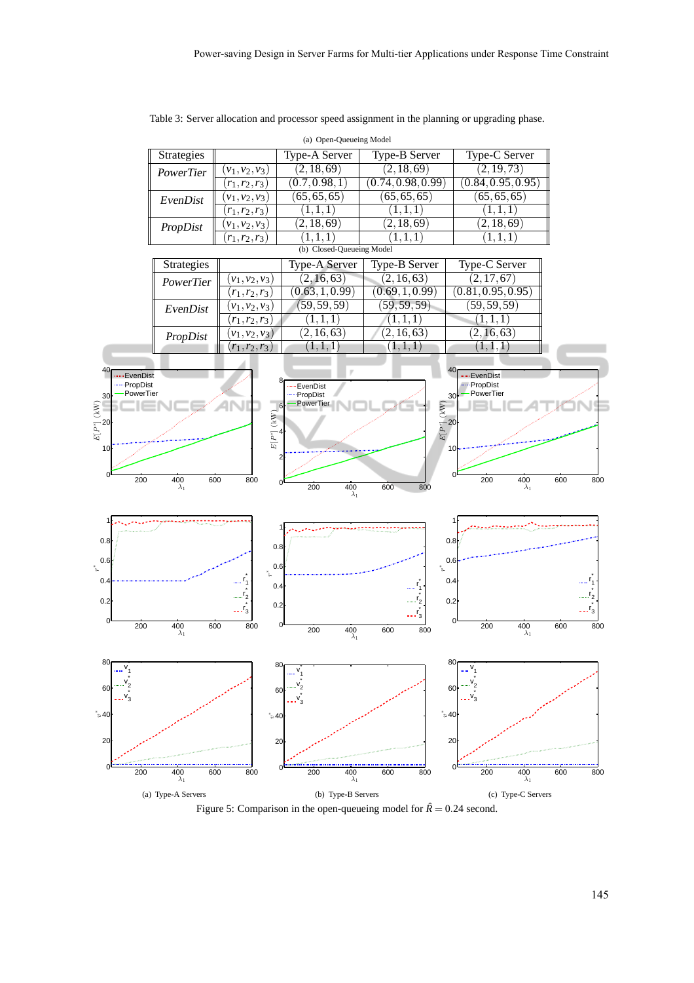|                              |                           |                   | (a) Open-Queueing Model        |                      |                           |            |
|------------------------------|---------------------------|-------------------|--------------------------------|----------------------|---------------------------|------------|
|                              | Strategies                |                   | <b>Type-A Server</b>           | <b>Type-B Server</b> | Type-C Server             |            |
|                              | PowerTier                 | $(v_1, v_2, v_3)$ | (2, 18, 69)                    | (2, 18, 69)          | (2, 19, 73)               |            |
|                              |                           | $(r_1, r_2, r_3)$ | (0.7,0.98,1)                   | (0.74, 0.98, 0.99)   | (0.84, 0.95, 0.95)        |            |
|                              | EvenDist                  | $(v_1, v_2, v_3)$ | (65, 65, 65)                   | (65, 65, 65)         | (65, 65, 65)              |            |
|                              |                           | $(r_1, r_2, r_3)$ | (1,1,1)                        | (1,1,1)              | (1,1,1)                   |            |
|                              | PropDist                  | $(v_1, v_2, v_3)$ | (2, 18, 69)                    | (2, 18, 69)          | (2, 18, 69)               |            |
|                              |                           | $(r_1, r_2, r_3)$ | (1,1,1)                        | (1,1,1)              | (1,1,1)                   |            |
|                              | (b) Closed-Queueing Model |                   |                                |                      |                           |            |
|                              | Strategies                |                   | Type-A Server                  | <b>Type-B Server</b> | Type-C Server             |            |
|                              | PowerTier                 | $(v_1, v_2, v_3)$ | (2, 16, 63)                    | (2, 16, 63)          | (2, 17, 67)               |            |
|                              |                           | $(r_1, r_2, r_3)$ | (0.63, 1, 0.99)                | (0.69, 1, 0.99)      | (0.81, 0.95, 0.95)        |            |
|                              | EvenDist                  | $(v_1, v_2, v_3)$ | (59, 59, 59)                   | (59, 59, 59)         | (59, 59, 59)              |            |
|                              |                           | $(r_1, r_2, r_3)$ | (1,1,1)                        | (1,1,1)              | $(1,1,\overline{1})$      |            |
|                              | PropDist                  | $(v_1, v_2, v_3)$ | (2, 16, 63)                    | (2, 16, 63)          | (2, 16, 63)               |            |
|                              |                           | $r_1, r_2, r_3$   | $(1,1,\overline{1})$           | (1,1,1)              | 1, 1, 1                   |            |
| 40 <sub>1</sub>              |                           |                   |                                |                      | 40 <sub>f</sub>           |            |
| EvenDist<br>-- PropDist      |                           |                   | EvenDist                       |                      | EvenDist<br>-- PropDist   |            |
| PowerTier<br>30              |                           |                   | PropDist                       |                      | PowerTier<br>30           |            |
| $E[P^*]$ (kW)                |                           |                   | PowerTier<br>6                 | $E[P^*](kW)$         |                           |            |
| $\cdot$ 20                   |                           | $E[P^*]$ (kW)     |                                |                      |                           |            |
|                              |                           |                   |                                |                      |                           |            |
| 10                           |                           |                   |                                |                      | 10                        |            |
|                              |                           |                   |                                |                      |                           |            |
| 200                          | 400                       | 600<br>800        |                                |                      | $\Omega$<br>400<br>200    | 600<br>800 |
|                              | $\lambda_1$               |                   | 200<br>$\frac{400}{\lambda_1}$ | 600<br>800           | $\lambda_1$               |            |
|                              |                           |                   |                                |                      |                           |            |
| 1                            |                           |                   |                                |                      |                           |            |
|                              |                           |                   |                                |                      |                           |            |
| 0.8                          |                           | 0.8               |                                |                      | 0.8                       |            |
| 0.6<br>$\tilde{\mathcal{L}}$ |                           | 0.6               |                                | ۴.                   | 0.6                       |            |
| 0.4                          |                           | مشم               |                                |                      | 0.4                       |            |
|                              |                           | 0.4               |                                |                      |                           |            |
| 0.2                          |                           | 0.2               |                                |                      | 0.2                       |            |
| 0                            |                           |                   |                                |                      | 0                         |            |
| 200                          | 400<br>$\lambda_1$        | 600<br>800        | 0<br>200<br>400<br>$\lambda_1$ | 600<br>800           | 200<br>400<br>$\lambda_1$ | 600<br>800 |
|                              |                           |                   |                                |                      |                           |            |
| 80                           |                           | 80                |                                |                      | 80                        |            |
|                              |                           |                   |                                |                      |                           |            |
| 60                           |                           | 60                |                                |                      | 60                        |            |
|                              |                           |                   |                                |                      |                           |            |
| ້ະ 40                        |                           | $\degree$ s 40    |                                |                      | ້ $\approx$ 40            |            |
|                              |                           |                   |                                |                      |                           |            |
| 20                           |                           | 20                |                                |                      | 20                        |            |
|                              |                           |                   |                                |                      |                           |            |
| 0<br>200                     | 400                       | 600<br>800        | 200<br>$\frac{400}{\lambda_1}$ | 600<br>800           | 200<br>400                | 600<br>800 |
|                              | $\lambda_1$               |                   |                                |                      | $\lambda_1$               |            |
|                              | (a) Type-A Servers        |                   | (b) Type-B Servers             |                      | (c) Type-C Servers        |            |

Table 3: Server allocation and processor speed assignment in the planning or upgrading phase.

Figure 5: Comparison in the open-queueing model for  $\hat{R} = 0.24$  second.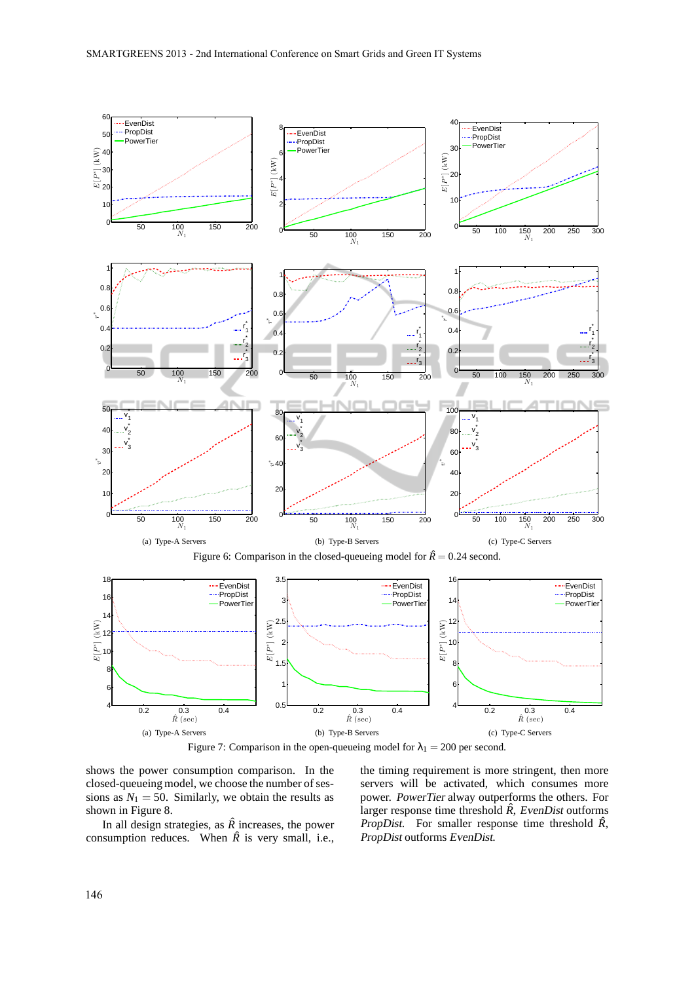

Figure 7: Comparison in the open-queueing model for  $\lambda_1 = 200$  per second.

shows the power consumption comparison. In the closed-queueing model, we choose the number of sessions as  $N_1 = 50$ . Similarly, we obtain the results as shown in Figure 8.

In all design strategies, as  $\hat{R}$  increases, the power consumption reduces. When  $\hat{R}$  is very small, i.e., the timing requirement is more stringent, then more servers will be activated, which consumes more power. PowerTier alway outperforms the others. For larger response time threshold  $\hat{R}$ , EvenDist outforms PropDist. For smaller response time threshold  $\hat{R}$ , PropDist outforms EvenDist.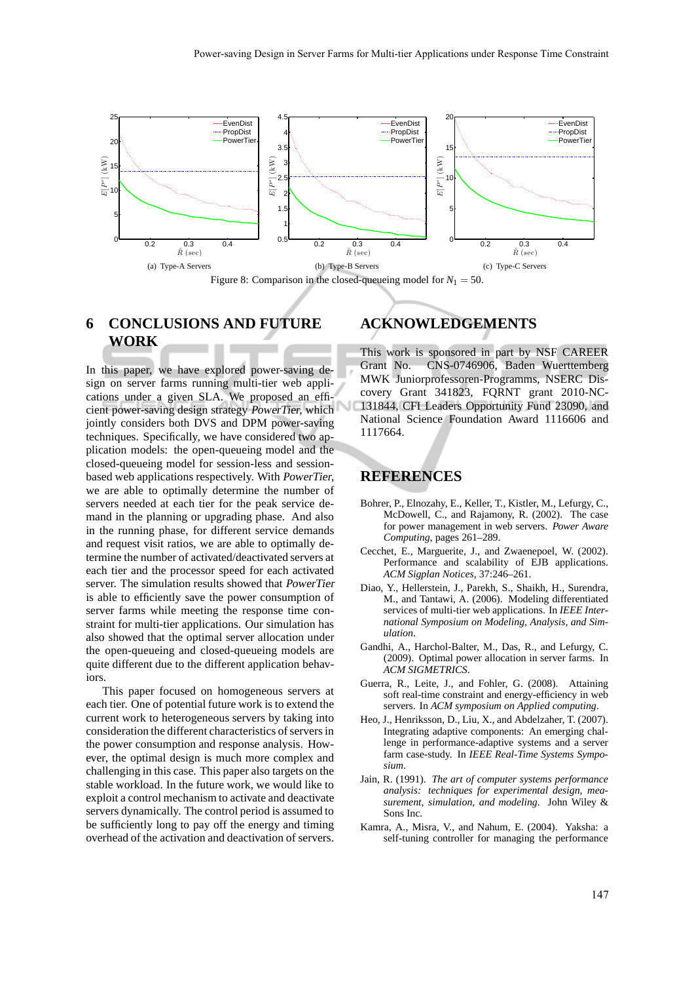

Figure 8: Comparison in the closed-queueing model for  $N_1 = 50$ .

## **6 CONCLUSIONS AND FUTURE WORK**

In this paper, we have explored power-saving design on server farms running multi-tier web applications under a given SLA. We proposed an efficient power-saving design strategy PowerTier, which jointly considers both DVS and DPM power-saving techniques. Specifically, we have considered two application models: the open-queueing model and the closed-queueing model for session-less and sessionbased web applications respectively. With PowerTier, we are able to optimally determine the number of servers needed at each tier for the peak service demand in the planning or upgrading phase. And also in the running phase, for different service demands and request visit ratios, we are able to optimally determine the number of activated/deactivated servers at each tier and the processor speed for each activated server. The simulation results showed that PowerTier is able to efficiently save the power consumption of server farms while meeting the response time constraint for multi-tier applications. Our simulation has also showed that the optimal server allocation under the open-queueing and closed-queueing models are quite different due to the different application behaviors.

This paper focused on homogeneous servers at each tier. One of potential future work is to extend the current work to heterogeneous servers by taking into consideration the different characteristics of servers in the power consumption and response analysis. However, the optimal design is much more complex and challenging in this case. This paper also targets on the stable workload. In the future work, we would like to exploit a control mechanism to activate and deactivate servers dynamically. The control period is assumed to be sufficiently long to pay off the energy and timing overhead of the activation and deactivation of servers.

# **ACKNOWLEDGEMENTS**

This work is sponsored in part by NSF CAREER Grant No. CNS-0746906, Baden Wuerttemberg MWK Juniorprofessoren-Programms, NSERC Discovery Grant 341823, FQRNT grant 2010-NC-131844, CFI Leaders Opportunity Fund 23090, and National Science Foundation Award 1116606 and 1117664.

#### **REFERENCES**

- Bohrer, P., Elnozahy, E., Keller, T., Kistler, M., Lefurgy, C., McDowell, C., and Rajamony, R. (2002). The case for power management in web servers. *Power Aware Computing*, pages 261–289.
- Cecchet, E., Marguerite, J., and Zwaenepoel, W. (2002). Performance and scalability of EJB applications. *ACM Sigplan Notices*, 37:246–261.
- Diao, Y., Hellerstein, J., Parekh, S., Shaikh, H., Surendra, M., and Tantawi, A. (2006). Modeling differentiated services of multi-tier web applications. In *IEEE International Symposium on Modeling, Analysis, and Simulation*.
- Gandhi, A., Harchol-Balter, M., Das, R., and Lefurgy, C. (2009). Optimal power allocation in server farms. In *ACM SIGMETRICS*.
- Guerra, R., Leite, J., and Fohler, G. (2008). Attaining soft real-time constraint and energy-efficiency in web servers. In *ACM symposium on Applied computing*.
- Heo, J., Henriksson, D., Liu, X., and Abdelzaher, T. (2007). Integrating adaptive components: An emerging challenge in performance-adaptive systems and a server farm case-study. In *IEEE Real-Time Systems Symposium*.
- Jain, R. (1991). *The art of computer systems performance analysis: techniques for experimental design, measurement, simulation, and modeling*. John Wiley & Sons Inc.
- Kamra, A., Misra, V., and Nahum, E. (2004). Yaksha: a self-tuning controller for managing the performance